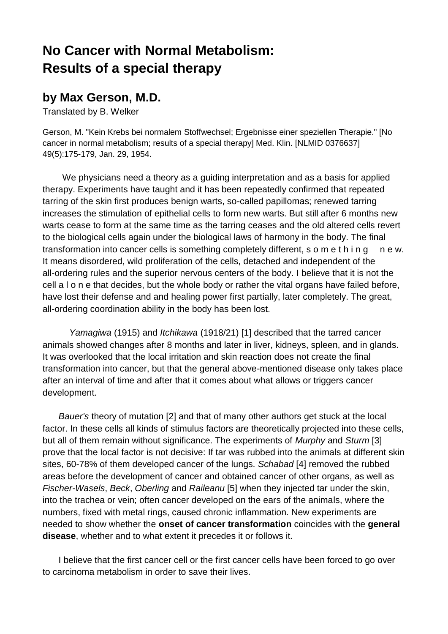## **No Cancer with Normal Metabolism: Results of a special therapy**

## **by Max Gerson, M.D.**

Translated by B. Welker

Gerson, M. "Kein Krebs bei normalem Stoffwechsel; Ergebnisse einer speziellen Therapie." [No cancer in normal metabolism; results of a special therapy] Med. Klin. [NLMID 0376637] 49(5):175-179, Jan. 29, 1954.

 We physicians need a theory as a guiding interpretation and as a basis for applied therapy. Experiments have taught and it has been repeatedly confirmed that repeated tarring of the skin first produces benign warts, so-called papillomas; renewed tarring increases the stimulation of epithelial cells to form new warts. But still after 6 months new warts cease to form at the same time as the tarring ceases and the old altered cells revert to the biological cells again under the biological laws of harmony in the body. The final transformation into cancer cells is something completely different, s o m e t h i n g n e w. It means disordered, wild proliferation of the cells, detached and independent of the all-ordering rules and the superior nervous centers of the body. I believe that it is not the cell a l o n e that decides, but the whole body or rather the vital organs have failed before, have lost their defense and and healing power first partially, later completely. The great, all-ordering coordination ability in the body has been lost.

*Yamagiwa* (1915) and *Itchikawa* (1918/21) [1] described that the tarred cancer animals showed changes after 8 months and later in liver, kidneys, spleen, and in glands. It was overlooked that the local irritation and skin reaction does not create the final transformation into cancer, but that the general above-mentioned disease only takes place after an interval of time and after that it comes about what allows or triggers cancer development.

 *Bauer's* theory of mutation [2] and that of many other authors get stuck at the local factor. In these cells all kinds of stimulus factors are theoretically projected into these cells, but all of them remain without significance. The experiments of *Murphy* and *Sturm* [3] prove that the local factor is not decisive: If tar was rubbed into the animals at different skin sites, 60-78% of them developed cancer of the lungs. *Schabad* [4] removed the rubbed areas before the development of cancer and obtained cancer of other organs, as well as *Fischer-Wasels*, *Beck*, *Oberling* and *Raileanu* [5] when they injected tar under the skin, into the trachea or vein; often cancer developed on the ears of the animals, where the numbers, fixed with metal rings, caused chronic inflammation. New experiments are needed to show whether the **onset of cancer transformation** coincides with the **general disease**, whether and to what extent it precedes it or follows it.

 I believe that the first cancer cell or the first cancer cells have been forced to go over to carcinoma metabolism in order to save their lives.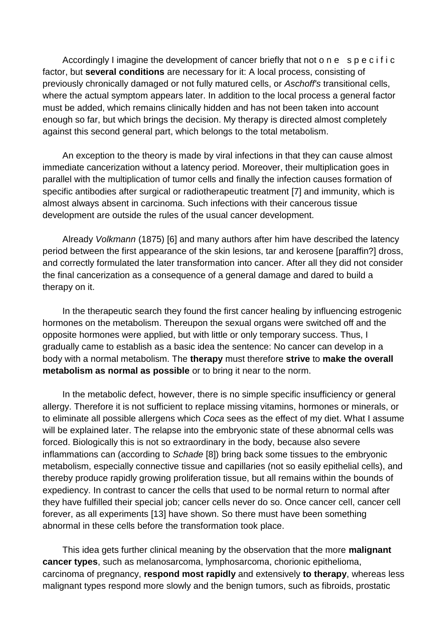Accordingly I imagine the development of cancer briefly that not o n e s p e c i f i c factor, but **several conditions** are necessary for it: A local process, consisting of previously chronically damaged or not fully matured cells, or *Aschoff's* transitional cells, where the actual symptom appears later. In addition to the local process a general factor must be added, which remains clinically hidden and has not been taken into account enough so far, but which brings the decision. My therapy is directed almost completely against this second general part, which belongs to the total metabolism.

 An exception to the theory is made by viral infections in that they can cause almost immediate cancerization without a latency period. Moreover, their multiplication goes in parallel with the multiplication of tumor cells and finally the infection causes formation of specific antibodies after surgical or radiotherapeutic treatment [7] and immunity, which is almost always absent in carcinoma. Such infections with their cancerous tissue development are outside the rules of the usual cancer development.

 Already *Volkmann* (1875) [6] and many authors after him have described the latency period between the first appearance of the skin lesions, tar and kerosene [paraffin?] dross, and correctly formulated the later transformation into cancer. After all they did not consider the final cancerization as a consequence of a general damage and dared to build a therapy on it.

 In the therapeutic search they found the first cancer healing by influencing estrogenic hormones on the metabolism. Thereupon the sexual organs were switched off and the opposite hormones were applied, but with little or only temporary success. Thus, I gradually came to establish as a basic idea the sentence: No cancer can develop in a body with a normal metabolism. The **therapy** must therefore **strive** to **make the overall metabolism as normal as possible** or to bring it near to the norm.

 In the metabolic defect, however, there is no simple specific insufficiency or general allergy. Therefore it is not sufficient to replace missing vitamins, hormones or minerals, or to eliminate all possible allergens which *Coca* sees as the effect of my diet. What I assume will be explained later. The relapse into the embryonic state of these abnormal cells was forced. Biologically this is not so extraordinary in the body, because also severe inflammations can (according to *Schade* [8]) bring back some tissues to the embryonic metabolism, especially connective tissue and capillaries (not so easily epithelial cells), and thereby produce rapidly growing proliferation tissue, but all remains within the bounds of expediency. In contrast to cancer the cells that used to be normal return to normal after they have fulfilled their special job; cancer cells never do so. Once cancer cell, cancer cell forever, as all experiments [13] have shown. So there must have been something abnormal in these cells before the transformation took place.

 This idea gets further clinical meaning by the observation that the more **malignant cancer types**, such as melanosarcoma, lymphosarcoma, chorionic epithelioma, carcinoma of pregnancy, **respond most rapidly** and extensively **to therapy**, whereas less malignant types respond more slowly and the benign tumors, such as fibroids, prostatic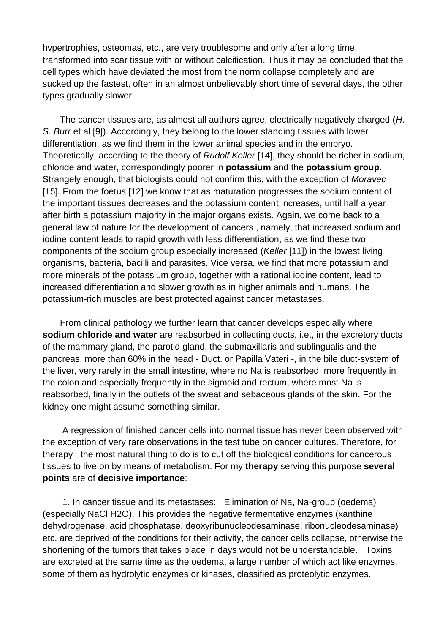hvpertrophies, osteomas, etc., are very troublesome and only after a long time transformed into scar tissue with or without calcification. Thus it may be concluded that the cell types which have deviated the most from the norm collapse completely and are sucked up the fastest, often in an almost unbelievably short time of several days, the other types gradually slower.

 The cancer tissues are, as almost all authors agree, electrically negatively charged (*H. S. Burr* et al [9]). Accordingly, they belong to the lower standing tissues with lower differentiation, as we find them in the lower animal species and in the embryo. Theoretically, according to the theory of *Rudolf Keller* [14], they should be richer in sodium, chloride and water, correspondingly poorer in **potassium** and the **potassium group**. Strangely enough, that biologists could not confirm this, with the exception of *Moravec* [15]. From the foetus [12] we know that as maturation progresses the sodium content of the important tissues decreases and the potassium content increases, until half a year after birth a potassium majority in the major organs exists. Again, we come back to a general law of nature for the development of cancers , namely, that increased sodium and iodine content leads to rapid growth with less differentiation, as we find these two components of the sodium group especially increased (*Keller* [11]) in the lowest living organisms, bacteria, bacilli and parasites. Vice versa, we find that more potassium and more minerals of the potassium group, together with a rational iodine content, lead to increased differentiation and slower growth as in higher animals and humans. The potassium-rich muscles are best protected against cancer metastases.

 From clinical pathology we further learn that cancer develops especially where **sodium chloride and water** are reabsorbed in collecting ducts, i.e., in the excretory ducts of the mammary gland, the parotid gland, the submaxillaris and sublingualis and the pancreas, more than 60% in the head - Duct. or Papilla Vateri -, in the bile duct-system of the liver, very rarely in the small intestine, where no Na is reabsorbed, more frequently in the colon and especially frequently in the sigmoid and rectum, where most Na is reabsorbed, finally in the outlets of the sweat and sebaceous glands of the skin. For the kidney one might assume something similar.

 A regression of finished cancer cells into normal tissue has never been observed with the exception of very rare observations in the test tube on cancer cultures. Therefore, for therapy the most natural thing to do is to cut off the biological conditions for cancerous tissues to live on by means of metabolism. For my **therapy** serving this purpose **several points** are of **decisive importance**:

 1. In cancer tissue and its metastases: Elimination of Na, Na-group (oedema) (especially NaCl H2O). This provides the negative fermentative enzymes (xanthine dehydrogenase, acid phosphatase, deoxyribunucleodesaminase, ribonucleodesaminase) etc. are deprived of the conditions for their activity, the cancer cells collapse, otherwise the shortening of the tumors that takes place in days would not be understandable. Toxins are excreted at the same time as the oedema, a large number of which act like enzymes, some of them as hydrolytic enzymes or kinases, classified as proteolytic enzymes.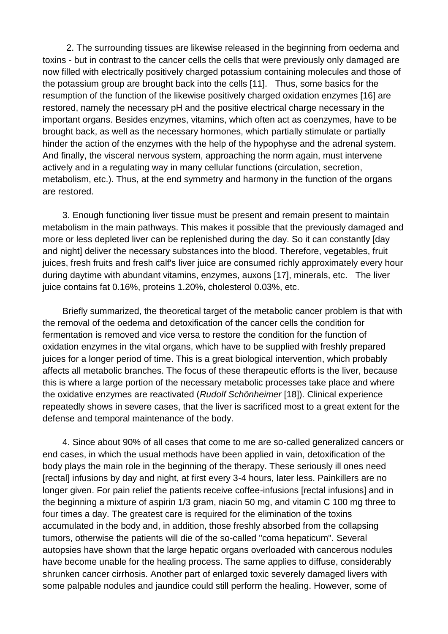2. The surrounding tissues are likewise released in the beginning from oedema and toxins - but in contrast to the cancer cells the cells that were previously only damaged are now filled with electrically positively charged potassium containing molecules and those of the potassium group are brought back into the cells [11]. Thus, some basics for the resumption of the function of the likewise positively charged oxidation enzymes [16] are restored, namely the necessary pH and the positive electrical charge necessary in the important organs. Besides enzymes, vitamins, which often act as coenzymes, have to be brought back, as well as the necessary hormones, which partially stimulate or partially hinder the action of the enzymes with the help of the hypophyse and the adrenal system. And finally, the visceral nervous system, approaching the norm again, must intervene actively and in a regulating way in many cellular functions (circulation, secretion, metabolism, etc.). Thus, at the end symmetry and harmony in the function of the organs are restored.

 3. Enough functioning liver tissue must be present and remain present to maintain metabolism in the main pathways. This makes it possible that the previously damaged and more or less depleted liver can be replenished during the day. So it can constantly [day and night] deliver the necessary substances into the blood. Therefore, vegetables, fruit juices, fresh fruits and fresh calf's liver juice are consumed richly approximately every hour during daytime with abundant vitamins, enzymes, auxons [17], minerals, etc. The liver juice contains fat 0.16%, proteins 1.20%, cholesterol 0.03%, etc.

 Briefly summarized, the theoretical target of the metabolic cancer problem is that with the removal of the oedema and detoxification of the cancer cells the condition for fermentation is removed and vice versa to restore the condition for the function of oxidation enzymes in the vital organs, which have to be supplied with freshly prepared juices for a longer period of time. This is a great biological intervention, which probably affects all metabolic branches. The focus of these therapeutic efforts is the liver, because this is where a large portion of the necessary metabolic processes take place and where the oxidative enzymes are reactivated (*Rudolf Schönheimer* [18]). Clinical experience repeatedly shows in severe cases, that the liver is sacrificed most to a great extent for the defense and temporal maintenance of the body.

 4. Since about 90% of all cases that come to me are so-called generalized cancers or end cases, in which the usual methods have been applied in vain, detoxification of the body plays the main role in the beginning of the therapy. These seriously ill ones need [rectal] infusions by day and night, at first every 3-4 hours, later less. Painkillers are no longer given. For pain relief the patients receive coffee-infusions [rectal infusions] and in the beginning a mixture of aspirin 1/3 gram, niacin 50 mg, and vitamin C 100 mg three to four times a day. The greatest care is required for the elimination of the toxins accumulated in the body and, in addition, those freshly absorbed from the collapsing tumors, otherwise the patients will die of the so-called "coma hepaticum". Several autopsies have shown that the large hepatic organs overloaded with cancerous nodules have become unable for the healing process. The same applies to diffuse, considerably shrunken cancer cirrhosis. Another part of enlarged toxic severely damaged livers with some palpable nodules and jaundice could still perform the healing. However, some of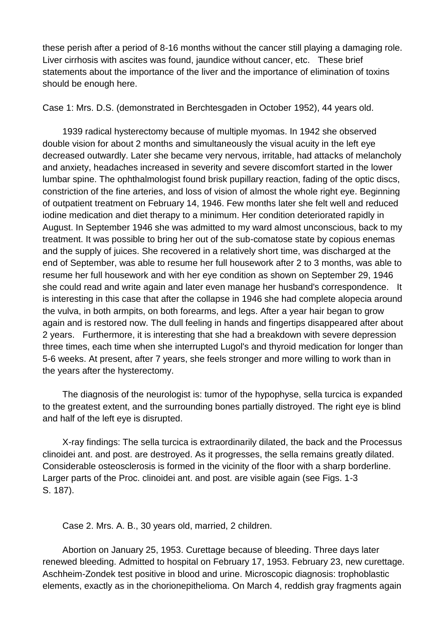these perish after a period of 8-16 months without the cancer still playing a damaging role. Liver cirrhosis with ascites was found, jaundice without cancer, etc. These brief statements about the importance of the liver and the importance of elimination of toxins should be enough here.

Case 1: Mrs. D.S. (demonstrated in Berchtesgaden in October 1952), 44 years old.

 1939 radical hysterectomy because of multiple myomas. In 1942 she observed double vision for about 2 months and simultaneously the visual acuity in the left eye decreased outwardly. Later she became very nervous, irritable, had attacks of melancholy and anxiety, headaches increased in severity and severe discomfort started in the lower lumbar spine. The ophthalmologist found brisk pupillary reaction, fading of the optic discs, constriction of the fine arteries, and loss of vision of almost the whole right eye. Beginning of outpatient treatment on February 14, 1946. Few months later she felt well and reduced iodine medication and diet therapy to a minimum. Her condition deteriorated rapidly in August. In September 1946 she was admitted to my ward almost unconscious, back to my treatment. It was possible to bring her out of the sub-comatose state by copious enemas and the supply of juices. She recovered in a relatively short time, was discharged at the end of September, was able to resume her full housework after 2 to 3 months, was able to resume her full housework and with her eye condition as shown on September 29, 1946 she could read and write again and later even manage her husband's correspondence. It is interesting in this case that after the collapse in 1946 she had complete alopecia around the vulva, in both armpits, on both forearms, and legs. After a year hair began to grow again and is restored now. The dull feeling in hands and fingertips disappeared after about 2 years. Furthermore, it is interesting that she had a breakdown with severe depression three times, each time when she interrupted Lugol's and thyroid medication for longer than 5-6 weeks. At present, after 7 years, she feels stronger and more willing to work than in the years after the hysterectomy.

 The diagnosis of the neurologist is: tumor of the hypophyse, sella turcica is expanded to the greatest extent, and the surrounding bones partially distroyed. The right eye is blind and half of the left eye is disrupted.

 X-ray findings: The sella turcica is extraordinarily dilated, the back and the Processus clinoidei ant. and post. are destroyed. As it progresses, the sella remains greatly dilated. Considerable osteosclerosis is formed in the vicinity of the floor with a sharp borderline. Larger parts of the Proc. clinoidei ant. and post. are visible again (see Figs. 1-3 S. 187).

Case 2. Mrs. A. B., 30 years old, married, 2 children.

 Abortion on January 25, 1953. Curettage because of bleeding. Three days later renewed bleeding. Admitted to hospital on February 17, 1953. February 23, new curettage. Aschheim-Zondek test positive in blood and urine. Microscopic diagnosis: trophoblastic elements, exactly as in the chorionepithelioma. On March 4, reddish gray fragments again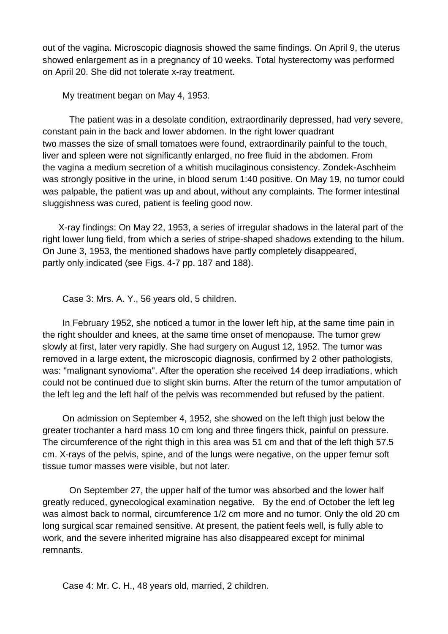out of the vagina. Microscopic diagnosis showed the same findings. On April 9, the uterus showed enlargement as in a pregnancy of 10 weeks. Total hysterectomy was performed on April 20. She did not tolerate x-ray treatment.

My treatment began on May 4, 1953.

The patient was in a desolate condition, extraordinarily depressed, had very severe, constant pain in the back and lower abdomen. In the right lower quadrant two masses the size of small tomatoes were found, extraordinarily painful to the touch, liver and spleen were not significantly enlarged, no free fluid in the abdomen. From the vagina a medium secretion of a whitish mucilaginous consistency. Zondek-Aschheim was strongly positive in the urine, in blood serum 1:40 positive. On May 19, no tumor could was palpable, the patient was up and about, without any complaints. The former intestinal sluggishness was cured, patient is feeling good now.

 X-ray findings: On May 22, 1953, a series of irregular shadows in the lateral part of the right lower lung field, from which a series of stripe-shaped shadows extending to the hilum. On June 3, 1953, the mentioned shadows have partly completely disappeared, partly only indicated (see Figs. 4-7 pp. 187 and 188).

Case 3: Mrs. A. Y., 56 years old, 5 children.

 In February 1952, she noticed a tumor in the lower left hip, at the same time pain in the right shoulder and knees, at the same time onset of menopause. The tumor grew slowly at first, later very rapidly. She had surgery on August 12, 1952. The tumor was removed in a large extent, the microscopic diagnosis, confirmed by 2 other pathologists, was: "malignant synovioma". After the operation she received 14 deep irradiations, which could not be continued due to slight skin burns. After the return of the tumor amputation of the left leg and the left half of the pelvis was recommended but refused by the patient.

 On admission on September 4, 1952, she showed on the left thigh just below the greater trochanter a hard mass 10 cm long and three fingers thick, painful on pressure. The circumference of the right thigh in this area was 51 cm and that of the left thigh 57.5 cm. X-rays of the pelvis, spine, and of the lungs were negative, on the upper femur soft tissue tumor masses were visible, but not later.

On September 27, the upper half of the tumor was absorbed and the lower half greatly reduced, gynecological examination negative. By the end of October the left leg was almost back to normal, circumference 1/2 cm more and no tumor. Only the old 20 cm long surgical scar remained sensitive. At present, the patient feels well, is fully able to work, and the severe inherited migraine has also disappeared except for minimal remnants.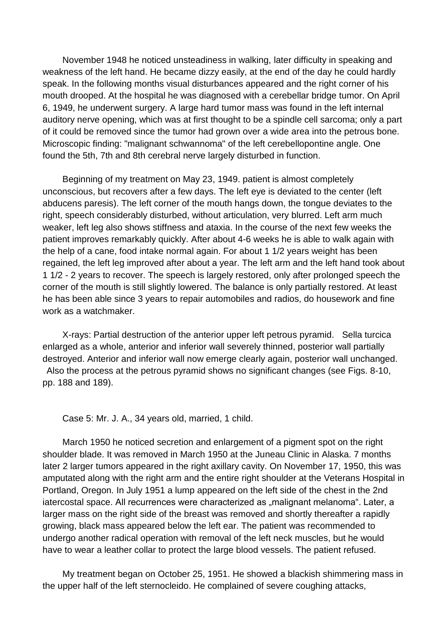November 1948 he noticed unsteadiness in walking, later difficulty in speaking and weakness of the left hand. He became dizzy easily, at the end of the day he could hardly speak. In the following months visual disturbances appeared and the right corner of his mouth drooped. At the hospital he was diagnosed with a cerebellar bridge tumor. On April 6, 1949, he underwent surgery. A large hard tumor mass was found in the left internal auditory nerve opening, which was at first thought to be a spindle cell sarcoma; only a part of it could be removed since the tumor had grown over a wide area into the petrous bone. Microscopic finding: "malignant schwannoma" of the left cerebellopontine angle. One found the 5th, 7th and 8th cerebral nerve largely disturbed in function.

 Beginning of my treatment on May 23, 1949. patient is almost completely unconscious, but recovers after a few days. The left eye is deviated to the center (left abducens paresis). The left corner of the mouth hangs down, the tongue deviates to the right, speech considerably disturbed, without articulation, very blurred. Left arm much weaker, left leg also shows stiffness and ataxia. In the course of the next few weeks the patient improves remarkably quickly. After about 4-6 weeks he is able to walk again with the help of a cane, food intake normal again. For about 1 1/2 years weight has been regained, the left leg improved after about a year. The left arm and the left hand took about 1 1/2 - 2 years to recover. The speech is largely restored, only after prolonged speech the corner of the mouth is still slightly lowered. The balance is only partially restored. At least he has been able since 3 years to repair automobiles and radios, do housework and fine work as a watchmaker.

 X-rays: Partial destruction of the anterior upper left petrous pyramid. Sella turcica enlarged as a whole, anterior and inferior wall severely thinned, posterior wall partially destroyed. Anterior and inferior wall now emerge clearly again, posterior wall unchanged. Also the process at the petrous pyramid shows no significant changes (see Figs. 8-10, pp. 188 and 189).

Case 5: Mr. J. A., 34 years old, married, 1 child.

 March 1950 he noticed secretion and enlargement of a pigment spot on the right shoulder blade. It was removed in March 1950 at the Juneau Clinic in Alaska. 7 months later 2 larger tumors appeared in the right axillary cavity. On November 17, 1950, this was amputated along with the right arm and the entire right shoulder at the Veterans Hospital in Portland, Oregon. In July 1951 a lump appeared on the left side of the chest in the 2nd iatercostal space. All recurrences were characterized as "malignant melanoma". Later, a larger mass on the right side of the breast was removed and shortly thereafter a rapidly growing, black mass appeared below the left ear. The patient was recommended to undergo another radical operation with removal of the left neck muscles, but he would have to wear a leather collar to protect the large blood vessels. The patient refused.

 My treatment began on October 25, 1951. He showed a blackish shimmering mass in the upper half of the left sternocleido. He complained of severe coughing attacks,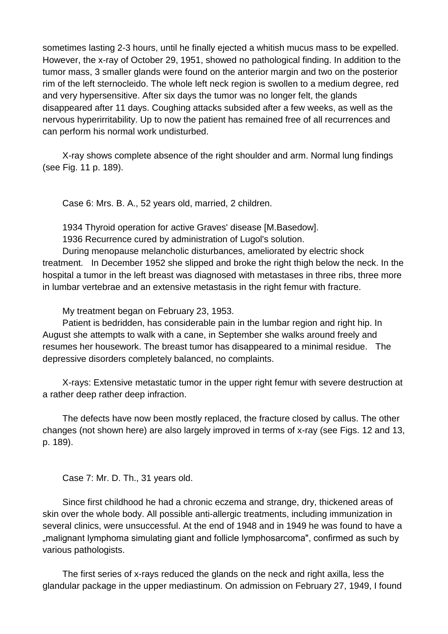sometimes lasting 2-3 hours, until he finally ejected a whitish mucus mass to be expelled. However, the x-ray of October 29, 1951, showed no pathological finding. In addition to the tumor mass, 3 smaller glands were found on the anterior margin and two on the posterior rim of the left sternocleido. The whole left neck region is swollen to a medium degree, red and very hypersensitive. After six days the tumor was no longer felt, the glands disappeared after 11 days. Coughing attacks subsided after a few weeks, as well as the nervous hyperirritability. Up to now the patient has remained free of all recurrences and can perform his normal work undisturbed.

 X-ray shows complete absence of the right shoulder and arm. Normal lung findings (see Fig. 11 p. 189).

Case 6: Mrs. B. A., 52 years old, married, 2 children.

1934 Thyroid operation for active Graves' disease [M.Basedow].

1936 Recurrence cured by administration of Lugol's solution.

 During menopause melancholic disturbances, ameliorated by electric shock treatment. In December 1952 she slipped and broke the right thigh below the neck. In the hospital a tumor in the left breast was diagnosed with metastases in three ribs, three more in lumbar vertebrae and an extensive metastasis in the right femur with fracture.

My treatment began on February 23, 1953.

 Patient is bedridden, has considerable pain in the lumbar region and right hip. In August she attempts to walk with a cane, in September she walks around freely and resumes her housework. The breast tumor has disappeared to a minimal residue. The depressive disorders completely balanced, no complaints.

 X-rays: Extensive metastatic tumor in the upper right femur with severe destruction at a rather deep rather deep infraction.

 The defects have now been mostly replaced, the fracture closed by callus. The other changes (not shown here) are also largely improved in terms of x-ray (see Figs. 12 and 13, p. 189).

Case 7: Mr. D. Th., 31 years old.

 Since first childhood he had a chronic eczema and strange, dry, thickened areas of skin over the whole body. All possible anti-allergic treatments, including immunization in several clinics, were unsuccessful. At the end of 1948 and in 1949 he was found to have a "...malignant lymphoma simulating giant and follicle lymphosarcoma", confirmed as such by various pathologists.

 The first series of x-rays reduced the glands on the neck and right axilla, less the glandular package in the upper mediastinum. On admission on February 27, 1949, I found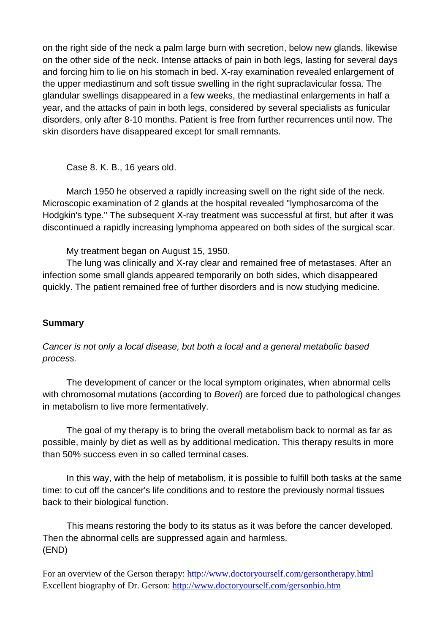on the right side of the neck a palm large burn with secretion, below new glands, likewise on the other side of the neck. Intense attacks of pain in both legs, lasting for several days and forcing him to lie on his stomach in bed. X-ray examination revealed enlargement of the upper mediastinum and soft tissue swelling in the right supraclavicular fossa. The glandular swellings disappeared in a few weeks, the mediastinal enlargements in half a year, and the attacks of pain in both legs, considered by several specialists as funicular disorders, only after 8-10 months. Patient is free from further recurrences until now. The skin disorders have disappeared except for small remnants.

Case 8. K. B., 16 years old.

 March 1950 he observed a rapidly increasing swell on the right side of the neck. Microscopic examination of 2 glands at the hospital revealed "lymphosarcoma of the Hodgkin's type." The subsequent X-ray treatment was successful at first, but after it was discontinued a rapidly increasing lymphoma appeared on both sides of the surgical scar.

My treatment began on August 15, 1950.

 The lung was clinically and X-ray clear and remained free of metastases. After an infection some small glands appeared temporarily on both sides, which disappeared quickly. The patient remained free of further disorders and is now studying medicine.

## **Summary**

*Cancer is not only a local disease, but both a local and a general metabolic based process.* 

 The development of cancer or the local symptom originates, when abnormal cells with chromosomal mutations (according to *Boveri*) are forced due to pathological changes in metabolism to live more fermentatively.

 The goal of my therapy is to bring the overall metabolism back to normal as far as possible, mainly by diet as well as by additional medication. This therapy results in more than 50% success even in so called terminal cases.

 In this way, with the help of metabolism, it is possible to fulfill both tasks at the same time: to cut off the cancer's life conditions and to restore the previously normal tissues back to their biological function.

 This means restoring the body to its status as it was before the cancer developed. Then the abnormal cells are suppressed again and harmless. (END)

For an overview of the Gerson therapy:<http://www.doctoryourself.com/gersontherapy.html> Excellent biography of Dr. Gerson:<http://www.doctoryourself.com/gersonbio.htm>